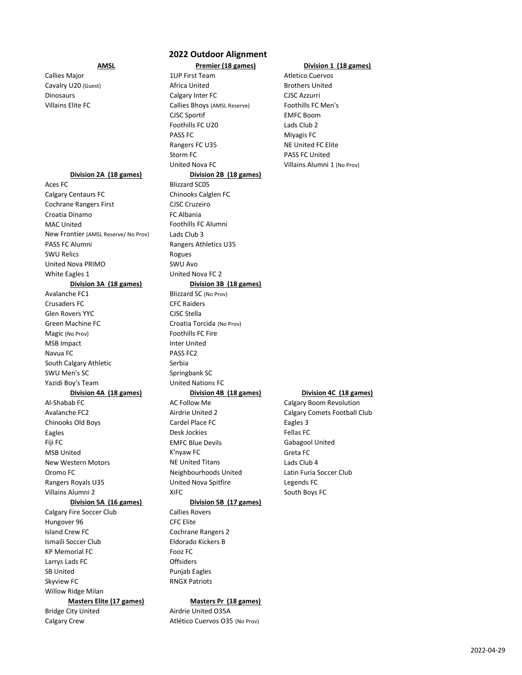Aces FC Blizzard SC05 Calgary Centaurs FC Chinooks Calglen FC Cochrane Rangers First CJSC Cruzeiro Croatia Dinamo FC Albania MAC United **Foothills FC Alumni** New Frontier (AMSL Reserve/ No Prov) Lads Club 3 PASS FC Alumni Rangers Athletics U35 SWU Relics **Rogues** Rogues United Nova PRIMO SWU Avo White Eagles 1 and 1 United Nova FC 2 Avalanche FC1 Blizzard SC (No Prov) Crusaders FC CFC Raiders Glen Rovers YYC CJSC Stella Green Machine FC Croatia Torcida (No Prov) Magic (No Prov) and The Second Foothills FC Fire MSB Impact and Inter United Navua FC PASS FC2 South Calgary Athletic Serbia SWU Men's SC Springbank SC Yazidi Boy's Team Nations FC Al-Shabab FC **Ac Follow Me** Calgary Boom Revolution Avalanche FC2 **Airdrie United 2** Calgary Comets Football Club Calgary Comets Football Club Chinooks Old Boys Cardel Place FC Eagles 3 Eagles **Example 20** Example 20 Desk Jockies **Fellas FC** Fiji FC **EMFC Blue Devils** Gabagool United MSB United K'nyaw FC Greta FC New Western Motors **NE United Titans** NE United Titans Lads Club 4 Oromo FC Neighbourhoods United Latin Furia Soccer Club Rangers Royals U35 **Communist Constructs** United Nova Spitfire **Legends FC** Villains Alumni 2 **XiFC** XiFC South Boys FC

Calgary Fire Soccer Club Callies Rovers Hungover 96 CFC Elite Island Crew FC Cochrane Rangers 2 Ismaili Soccer Club Eldorado Kickers B KP Memorial FC FOOZ FC Larrys Lads FC **Communist Contract Contract Contract Contract Contract Contract Contract Contract Contract Contract Contract Contract Contract Contract Contract Contract Contract Contract Contract Contract Contract Contrac** SB United Punjab Eagles Skyview FC **RNGX Patriots** Willow Ridge Milan Masters Elite (17 games) Masters Pr (18 games) Bridge City United **Airdrie United O35A** 

# 2022 Outdoor Alignment

Callies Major **1UP First Team** Atletico Cuervos Cavalry U20 (Guest) **Africa United** Brothers United Brothers United Dinosaurs Calgary Inter FC CJSC Azzurri Callies Bhoys (AMSL Reserve) Foothills FC Men's CJSC Sportif EMFC Boom Foothills FC U20 Lads Club 2 PASS FC Miyagis FC Rangers FC U35 NE United FC Elite Storm FC PASS FC United United Nova FC Villains Alumni 1 (No Prov) Division 2A (18 games) Division 2B (18 games) Division 3A (18 games) Division 3B (18 games) Division 4A (18 games) Division 4B (18 games) Division 4C (18 games) Division 5A (16 games) Division 5B (17 games)

# AMSL Premier (18 games) Division 1 (18 games)